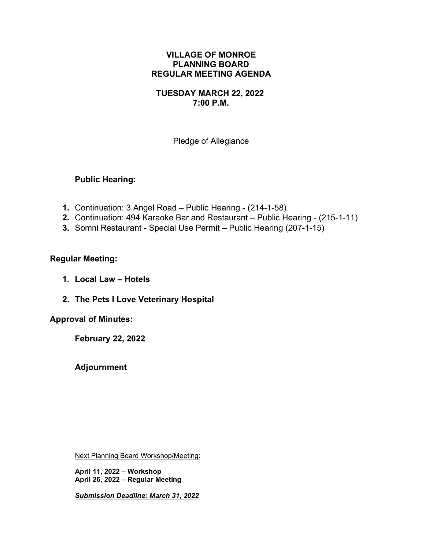### **VILLAGE OF MONROE PLANNING BOARD REGULAR MEETING AGENDA**

### **TUESDAY MARCH 22, 2022 7:00 P.M.**

Pledge of Allegiance

## **Public Hearing:**

- **1.** Continuation: 3 Angel Road Public Hearing (214-1-58)
- **2.** Continuation: 494 Karaoke Bar and Restaurant Public Hearing (215-1-11)
- **3.** Somni Restaurant Special Use Permit Public Hearing (207-1-15)

## **Regular Meeting:**

- **1. Local Law – Hotels**
- **2. The Pets I Love Veterinary Hospital**

### **Approval of Minutes:**

**February 22, 2022**

**Adjournment**

Next Planning Board Workshop/Meeting:

**April 11, 2022 – Workshop April 26, 2022 – Regular Meeting**

*Submission Deadline: March 31, 2022*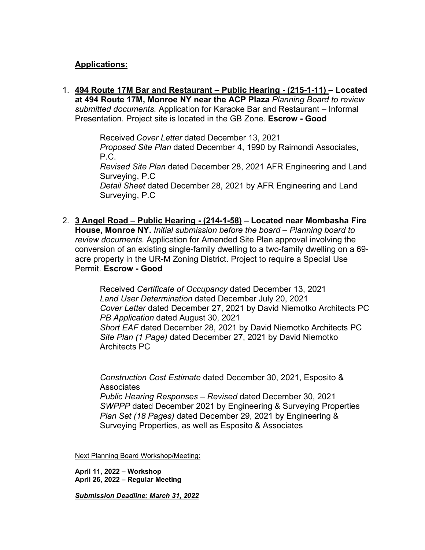# **Applications:**

1. **494 Route 17M Bar and Restaurant – Public Hearing - (215-1-11) – Located at 494 Route 17M, Monroe NY near the ACP Plaza** *Planning Board to review submitted documents.* Application for Karaoke Bar and Restaurant – Informal Presentation. Project site is located in the GB Zone. **Escrow - Good**

> Received *Cover Letter* dated December 13, 2021 *Proposed Site Plan* dated December 4, 1990 by Raimondi Associates, P.C. *Revised Site Plan* dated December 28, 2021 AFR Engineering and Land Surveying, P.C *Detail Sheet* dated December 28, 2021 by AFR Engineering and Land Surveying, P.C

2. **3 Angel Road – Public Hearing - (214-1-58) – Located near Mombasha Fire House, Monroe NY.** *Initial submission before the board – Planning board to review documents.* Application for Amended Site Plan approval involving the conversion of an existing single-family dwelling to a two-family dwelling on a 69 acre property in the UR-M Zoning District. Project to require a Special Use Permit. **Escrow - Good**

> Received *Certificate of Occupancy* dated December 13, 2021 *Land User Determination* dated December July 20, 2021 *Cover Letter* dated December 27, 2021 by David Niemotko Architects PC *PB Application* dated August 30, 2021 *Short EAF* dated December 28, 2021 by David Niemotko Architects PC *Site Plan (1 Page)* dated December 27, 2021 by David Niemotko Architects PC

*Construction Cost Estimate* dated December 30, 2021, Esposito & **Associates** *Public Hearing Responses – Revised* dated December 30, 2021 *SWPPP* dated December 2021 by Engineering & Surveying Properties *Plan Set (18 Pages)* dated December 29, 2021 by Engineering & Surveying Properties, as well as Esposito & Associates

Next Planning Board Workshop/Meeting:

**April 11, 2022 – Workshop April 26, 2022 – Regular Meeting**

*Submission Deadline: March 31, 2022*